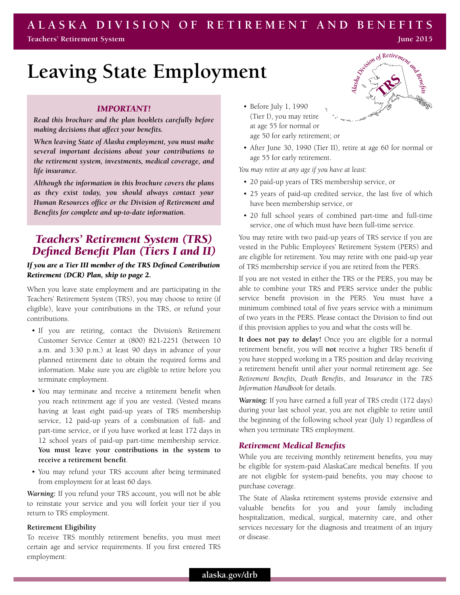# **ALASKA DIVISION OF RETIREMENT AND BENEFITS**

**Teachers' Retirement System June 2015**

# **Leaving State Employment**

## *IMPORTANT!*

*Read this brochure and the plan booklets carefully before making decisions that affect your benefits.* 

*When leaving State of Alaska employment, you must make several important decisions about your contributions to the retirement system, investments, medical coverage, and life insurance.* 

*Although the information in this brochure covers the plans as they exist today, you should always contact your Human Resources office or the Division of Retirement and Benefits for complete and up-to-date information.*

# *Teachers' Retirement System (TRS) Defined Benefit Plan (Tiers I and II)*

# *If you are a Tier III member of the TRS Defined Contribution Retirement (DCR) Plan, skip to page 2.*

When you leave state employment and are participating in the Teachers' Retirement System (TRS), you may choose to retire (if eligible), leave your contributions in the TRS, or refund your contributions.

- If you are retiring, contact the Division's Retirement Customer Service Center at (800) 821-2251 (between 10 a.m. and 3:30 p.m.) at least 90 days in advance of your planned retirement date to obtain the required forms and information. Make sure you are eligible to retire before you terminate employment.
- You may terminate and receive a retirement benefit when you reach retirement age if you are vested. (Vested means having at least eight paid-up years of TRS membership service, 12 paid-up years of a combination of full- and part-time service, or if you have worked at least 172 days in 12 school years of paid-up part-time membership service. **You must leave your contributions in the system to receive a retirement benefit**.
- You may refund your TRS account after being terminated from employment for at least 60 days.

*Warning:* If you refund your TRS account, you will not be able to reinstate your service and you will forfeit your tier if you return to TRS employment.

#### **Retirement Eligibility**

To receive TRS monthly retirement benefits, you must meet certain age and service requirements. If you first entered TRS employment:

- Before July 1, 1990 (Tier I), you may retire at age 55 for normal or age 50 for early retirement; or
- After June 30, 1990 (Tier II), retire at age 60 for normal or age 55 for early retirement.

*You may retire at any age if you have at least:* 

- 20 paid-up years of TRS membership service, or
- 25 years of paid-up credited service, the last five of which have been membership service, or
- 20 full school years of combined part-time and full-time service, one of which must have been full-time service.

You may retire with two paid-up years of TRS service if you are vested in the Public Employees' Retirement System (PERS) and are eligible for retirement. You may retire with one paid-up year of TRS membership service if you are retired from the PERS.

If you are not vested in either the TRS or the PERS, you may be able to combine your TRS and PERS service under the public service benefit provision in the PERS. You must have a minimum combined total of five years service with a minimum of two years in the PERS. Please contact the Division to find out if this provision applies to you and what the costs will be.

**It does not pay to delay!** Once you are eligible for a normal retirement benefit, you will **not** receive a higher TRS benefit if you have stopped working in a TRS position and delay receiving a retirement benefit until after your normal retirement age. See *Retirement Benefits, Death Benefits*, and *Insurance* in the *TRS Information Handbook* for details.

*Warning:* If you have earned a full year of TRS credit (172 days) during your last school year, you are not eligible to retire until the beginning of the following school year (July 1) regardless of when you terminate TRS employment.

# *Retirement Medical Benefits*

While you are receiving monthly retirement benefits, you may be eligible for system-paid AlaskaCare medical benefits. If you are not eligible for system-paid benefits, you may choose to purchase coverage.

The State of Alaska retirement systems provide extensive and valuable benefits for you and your family including hospitalization, medical, surgical, maternity care, and other services necessary for the diagnosis and treatment of an injury or disease.

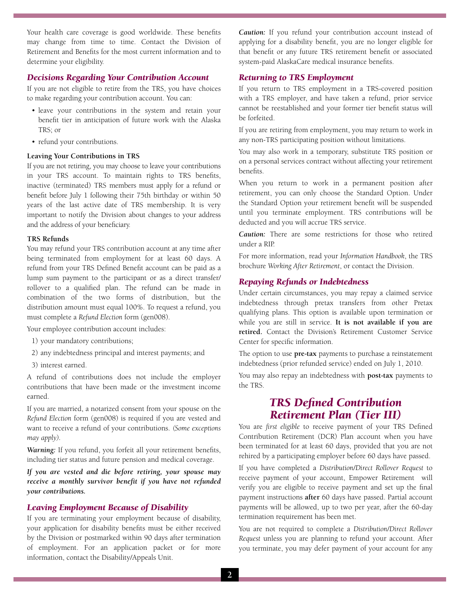Your health care coverage is good worldwide. These benefits may change from time to time. Contact the Division of Retirement and Benefits for the most current information and to determine your eligibility.

#### *Decisions Regarding Your Contribution Account*

If you are not eligible to retire from the TRS, you have choices to make regarding your contribution account. You can:

- leave your contributions in the system and retain your benefit tier in anticipation of future work with the Alaska TRS; or
- refund your contributions.

#### **Leaving Your Contributions in TRS**

If you are not retiring, you may choose to leave your contributions in your TRS account. To maintain rights to TRS benefits, inactive (terminated) TRS members must apply for a refund or benefit before July 1 following their 75th birthday or within 50 years of the last active date of TRS membership. It is very important to notify the Division about changes to your address and the address of your beneficiary.

#### **TRS Refunds**

You may refund your TRS contribution account at any time after being terminated from employment for at least 60 days. A refund from your TRS Defined Benefit account can be paid as a lump sum payment to the participant or as a direct transfer/ rollover to a qualified plan. The refund can be made in combination of the two forms of distribution, but the distribution amount must equal 100%. To request a refund, you must complete a *Refund Election* form (gen008).

Your employee contribution account includes:

- 1) your mandatory contributions;
- 2) any indebtedness principal and interest payments; and
- 3) interest earned.

A refund of contributions does not include the employer contributions that have been made or the investment income earned.

If you are married, a notarized consent from your spouse on the *Refund Election* form (gen008) is required if you are vested and want to receive a refund of your contributions. *(Some exceptions may apply).*

*Warning:* If you refund, you forfeit all your retirement benefits, including tier status and future pension and medical coverage.

*If you are vested and die before retiring, your spouse may receive a monthly survivor benefit if you have not refunded your contributions.* 

#### *Leaving Employment Because of Disability*

If you are terminating your employment because of disability, your application for disability benefits must be either received by the Division or postmarked within 90 days after termination of employment. For an application packet or for more information, contact the Disability/Appeals Unit.

*Caution:* If you refund your contribution account instead of applying for a disability benefit, you are no longer eligible for that benefit or any future TRS retirement benefit or associated system-paid AlaskaCare medical insurance benefits.

#### *Returning to TRS Employment*

If you return to TRS employment in a TRS-covered position with a TRS employer, and have taken a refund, prior service cannot be reestablished and your former tier benefit status will be forfeited.

If you are retiring from employment, you may return to work in any non-TRS participating position without limitations.

You may also work in a temporary, substitute TRS position or on a personal services contract without affecting your retirement benefits.

When you return to work in a permanent position after retirement, you can only choose the Standard Option. Under the Standard Option your retirement benefit will be suspended until you terminate employment. TRS contributions will be deducted and you will accrue TRS service.

*Caution:* There are some restrictions for those who retired under a RIP.

For more information, read your *Information Handbook*, the TRS brochure *Working After Retirement*, or contact the Division.

#### *Repaying Refunds or Indebtedness*

Under certain circumstances, you may repay a claimed service indebtedness through pretax transfers from other Pretax qualifying plans. This option is available upon termination or while you are still in service. **It is not available if you are retired.** Contact the Division's Retirement Customer Service Center for specific information.

The option to use **pre-tax** payments to purchase a reinstatement indebtedness (prior refunded service) ended on July 1, 2010.

You may also repay an indebtedness with **post-tax** payments to the TRS.

# *TRS Defined Contribution Retirement Plan (Tier III)*

You are *first eligible* to receive payment of your TRS Defined Contribution Retirement (DCR) Plan account when you have been terminated for at least 60 days, provided that you are not rehired by a participating employer before 60 days have passed.

If you have completed a *Distribution/Direct Rollover Request* to receive payment of your account, Empower Retirement will verify you are eligible to receive payment and set up the final payment instructions **after** 60 days have passed. Partial account payments will be allowed, up to two per year, after the 60-day termination requirement has been met.

You are not required to complete a *Distribution/Direct Rollover Request* unless you are planning to refund your account. After you terminate, you may defer payment of your account for any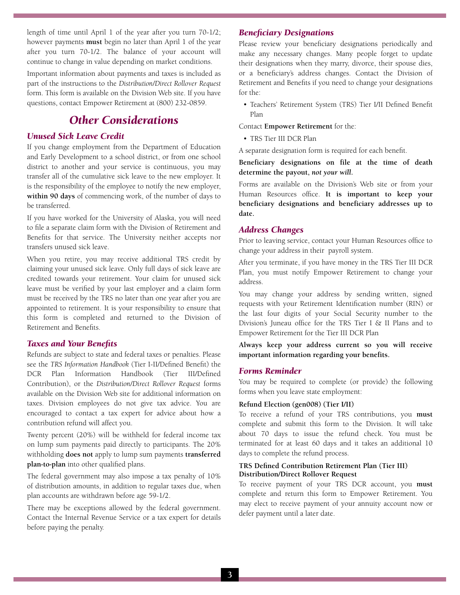length of time until April 1 of the year after you turn 70-1/2; however payments **must** begin no later than April 1 of the year after you turn 70-1/2. The balance of your account will continue to change in value depending on market conditions.

Important information about payments and taxes is included as part of the instructions to the *Distribution/Direct Rollover Request* form. This form is available on the Division Web site. If you have questions, contact Empower Retirement at (800) 232-0859.

# *Other Considerations*

# *Unused Sick Leave Credit*

If you change employment from the Department of Education and Early Development to a school district, or from one school district to another and your service is continuous, you may transfer all of the cumulative sick leave to the new employer. It is the responsibility of the employee to notify the new employer, **within 90 days** of commencing work, of the number of days to be transferred.

If you have worked for the University of Alaska, you will need to file a separate claim form with the Division of Retirement and Benefits for that service. The University neither accepts nor transfers unused sick leave.

When you retire, you may receive additional TRS credit by claiming your unused sick leave. Only full days of sick leave are credited towards your retirement. Your claim for unused sick leave must be verified by your last employer and a claim form must be received by the TRS no later than one year after you are appointed to retirement. It is your responsibility to ensure that this form is completed and returned to the Division of Retirement and Benefits.

#### *Taxes and Your Benefits*

Refunds are subject to state and federal taxes or penalties. Please see the *TRS Information Handbook* (Tier I-II/Defined Benefit) the DCR Plan Information Handbook (Tier III/Defined Contribution), or the *Distribution/Direct Rollover Request* forms available on the Division Web site for additional information on taxes. Division employees do not give tax advice. You are encouraged to contact a tax expert for advice about how a contribution refund will affect you.

Twenty percent (20%) will be withheld for federal income tax on lump sum payments paid directly to participants. The 20% withholding **does not** apply to lump sum payments **transferred plan-to-plan** into other qualified plans.

The federal government may also impose a tax penalty of 10% of distribution amounts, in addition to regular taxes due, when plan accounts are withdrawn before age 59-1/2.

There may be exceptions allowed by the federal government. Contact the Internal Revenue Service or a tax expert for details before paying the penalty.

## *Beneficiary Designations*

Please review your beneficiary designations periodically and make any necessary changes. Many people forget to update their designations when they marry, divorce, their spouse dies, or a beneficiary's address changes. Contact the Division of Retirement and Benefits if you need to change your designations for the:

• Teachers' Retirement System (TRS) Tier I/II Defined Benefit Plan

Contact **Empower Retirement** for the:

• TRS Tier III DCR Plan

A separate designation form is required for each benefit.

**Beneficiary designations on file at the time of death determine the payout,** *not your will***.** 

Forms are available on the Division's Web site or from your Human Resources office. **It is important to keep your beneficiary designations and beneficiary addresses up to date.**

#### *Address Changes*

Prior to leaving service, contact your Human Resources office to change your address in their payroll system.

After you terminate, if you have money in the TRS Tier III DCR Plan, you must notify Empower Retirement to change your address.

You may change your address by sending written, signed requests with your Retirement Identification number (RIN) or the last four digits of your Social Security number to the Division's Juneau office for the TRS Tier I & II Plans and to Empower Retirement for the Tier III DCR Plan

**Always keep your address current so you will receive important information regarding your benefits.** 

#### *Forms Reminder*

You may be required to complete (or provide) the following forms when you leave state employment:

#### **Refund Election (gen008) (Tier I/II)**

To receive a refund of your TRS contributions, you **must** complete and submit this form to the Division. It will take about 70 days to issue the refund check. You must be terminated for at least 60 days and it takes an additional 10 days to complete the refund process.

#### **TRS Defined Contribution Retirement Plan (Tier III) Distribution/Direct Rollover Request**

To receive payment of your TRS DCR account, you **must** complete and return this form to Empower Retirement. You may elect to receive payment of your annuity account now or defer payment until a later date.